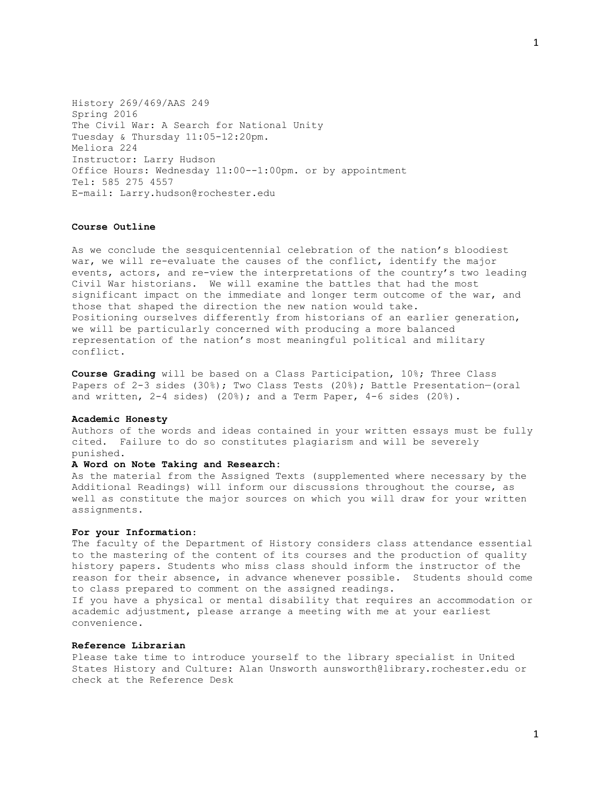History 269/469/AAS 249 Spring 2016 The Civil War: A Search for National Unity Tuesday & Thursday 11:05-12:20pm. Meliora 224 Instructor: Larry Hudson Office Hours: Wednesday 11:00--1:00pm. or by appointment Tel: 585 275 4557 E-mail: Larry.hudson@rochester.edu

## **Course Outline**

As we conclude the sesquicentennial celebration of the nation's bloodiest war, we will re-evaluate the causes of the conflict, identify the major events, actors, and re-view the interpretations of the country's two leading Civil War historians. We will examine the battles that had the most significant impact on the immediate and longer term outcome of the war, and those that shaped the direction the new nation would take. Positioning ourselves differently from historians of an earlier generation, we will be particularly concerned with producing a more balanced representation of the nation's most meaningful political and military conflict.

**Course Grading** will be based on a Class Participation, 10%; Three Class Papers of 2-3 sides (30%); Two Class Tests (20%); Battle Presentation-(oral and written,  $2-4$  sides)  $(20*)$ ; and a Term Paper,  $4-6$  sides  $(20*)$ .

#### **Academic Honesty**

Authors of the words and ideas contained in your written essays must be fully cited. Failure to do so constitutes plagiarism and will be severely punished.

#### **A Word on Note Taking and Research:**

As the material from the Assigned Texts (supplemented where necessary by the Additional Readings) will inform our discussions throughout the course, as well as constitute the major sources on which you will draw for your written assignments.

## **For your Information**:

The faculty of the Department of History considers class attendance essential to the mastering of the content of its courses and the production of quality history papers. Students who miss class should inform the instructor of the reason for their absence, in advance whenever possible. Students should come to class prepared to comment on the assigned readings. If you have a physical or mental disability that requires an accommodation or academic adjustment, please arrange a meeting with me at your earliest convenience.

#### **Reference Librarian**

Please take time to introduce yourself to the library specialist in United States History and Culture: Alan Unsworth aunsworth@library.rochester.edu or check at the Reference Desk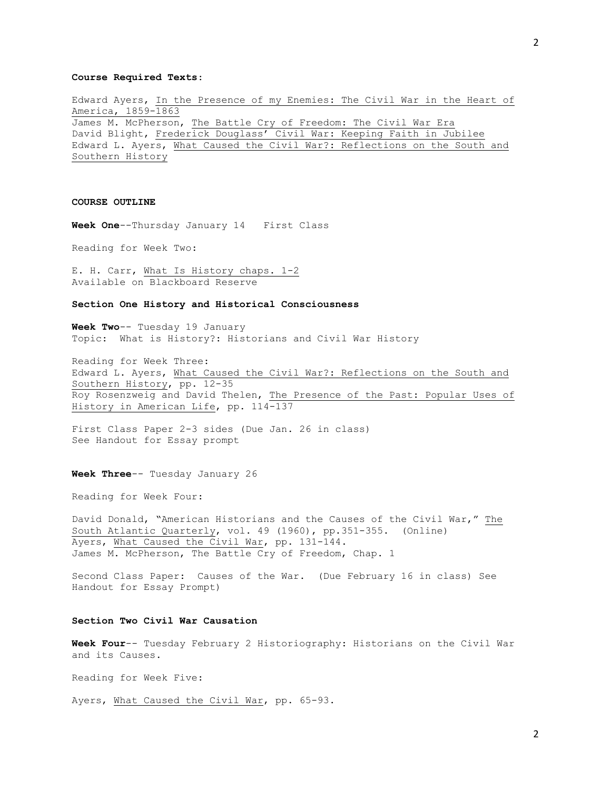### **Course Required Texts**:

Edward Ayers, In the Presence of my Enemies: The Civil War in the Heart of America, 1859-1863 James M. McPherson, The Battle Cry of Freedom: The Civil War Era David Blight, Frederick Douglass' Civil War: Keeping Faith in Jubilee Edward L. Ayers, What Caused the Civil War?: Reflections on the South and Southern History

### **COURSE OUTLINE**

**Week One**--Thursday January 14 First Class

Reading for Week Two:

E. H. Carr, What Is History chaps. 1-2 Available on Blackboard Reserve

#### **Section One History and Historical Consciousness**

**Week Two**-- Tuesday 19 January Topic: What is History?: Historians and Civil War History

Reading for Week Three: Edward L. Ayers, What Caused the Civil War?: Reflections on the South and Southern History, pp. 12-35 Roy Rosenzweig and David Thelen, The Presence of the Past: Popular Uses of History in American Life, pp. 114-137

First Class Paper 2-3 sides (Due Jan. 26 in class) See Handout for Essay prompt

**Week Three**-- Tuesday January 26

Reading for Week Four:

David Donald, "American Historians and the Causes of the Civil War," The South Atlantic Quarterly, vol. 49 (1960), pp.351-355. (Online) Ayers, What Caused the Civil Mar, pp. 131-144. James M. McPherson, The Battle Cry of Freedom, Chap. 1

Second Class Paper: Causes of the War. (Due February 16 in class) See Handout for Essay Prompt)

## **Section Two Civil War Causation**

**Week Four**-- Tuesday February 2 Historiography: Historians on the Civil War and its Causes.

Reading for Week Five:

Ayers, What Caused the Civil War, pp. 65-93.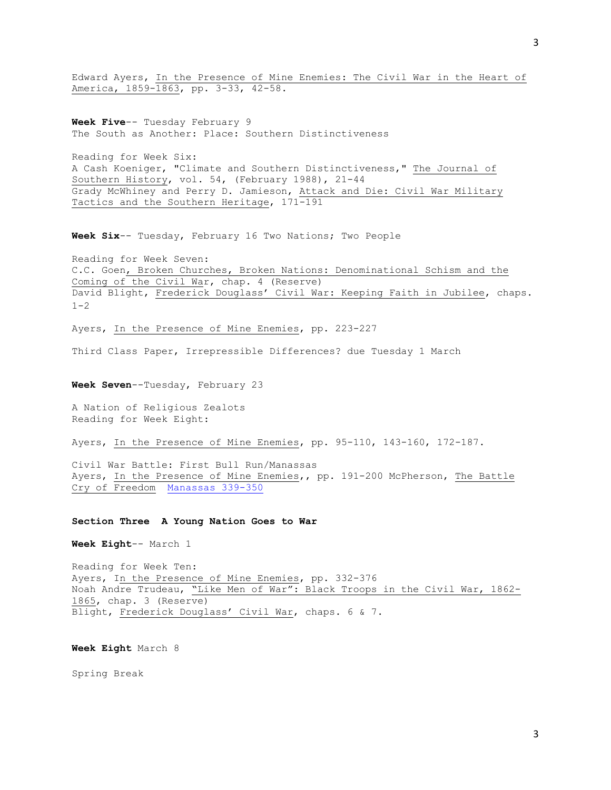Edward Ayers, In the Presence of Mine Enemies: The Civil War in the Heart of America, 1859-1863, pp. 3-33, 42-58.

**Week Five**-- Tuesday February 9 The South as Another: Place: Southern Distinctiveness

Reading for Week Six: A Cash Koeniger, "Climate and Southern Distinctiveness," The Journal of Southern History, vol. 54, (February 1988), 21-44 Grady McWhiney and Perry D. Jamieson, Attack and Die: Civil War Military Tactics and the Southern Heritage, 171-191

**Week Six**-- Tuesday, February 16 Two Nations; Two People

Reading for Week Seven: C.C. Goen, Broken Churches, Broken Nations: Denominational Schism and the Coming of the Civil War, chap. 4 (Reserve) David Blight, Frederick Douglass' Civil War: Keeping Faith in Jubilee, chaps.  $1 - 2$ 

Ayers, In the Presence of Mine Enemies, pp. 223-227

Third Class Paper, Irrepressible Differences? due Tuesday 1 March

**Week Seven**--Tuesday, February 23

A Nation of Religious Zealots Reading for Week Eight:

Ayers, In the Presence of Mine Enemies, pp. 95-110, 143-160, 172-187.

Civil War Battle: First Bull Run/Manassas Ayers, In the Presence of Mine Enemies,, pp. 191-200 McPherson, The Battle Cry of Freedom [Manassas 339-350](http://www.lib.rochester.edu:82/His/249Husdon/mcpherson339-350.pdf)

#### **Section Three A Young Nation Goes to War**

**Week Eight**-- March 1

Reading for Week Ten: Ayers, In the Presence of Mine Enemies, pp. 332-376 Noah Andre Trudeau, "Like Men of War": Black Troops in the Civil War, 1862-1865, chap. 3 (Reserve) Blight, Frederick Douglass' Civil War, chaps. 6 & 7.

**Week Eight** March 8

Spring Break